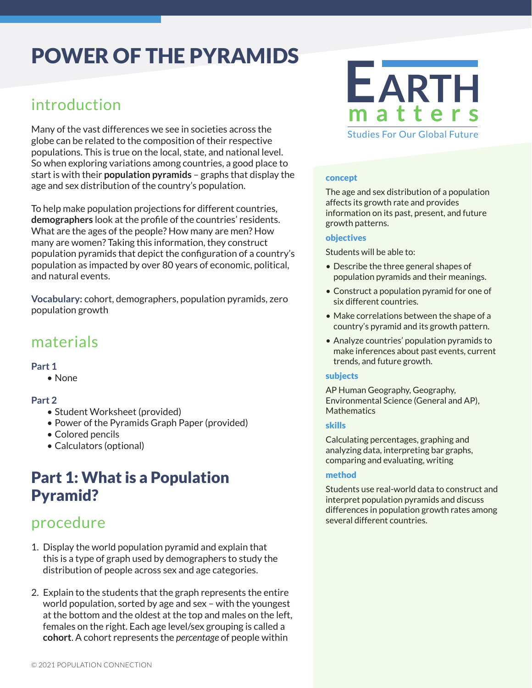# POWER OF THE PYRAMIDS

### introduction

Many of the vast differences we see in societies across the globe can be related to the composition of their respective populations. This is true on the local, state, and national level. So when exploring variations among countries, a good place to start is with their **population pyramids** – graphs that display the age and sex distribution of the country's population.

To help make population projections for different countries, **demographers** look at the profile of the countries' residents. What are the ages of the people? How many are men? How many are women? Taking this information, they construct population pyramids that depict the configuration of a country's population as impacted by over 80 years of economic, political, and natural events.

**Vocabulary:** cohort, demographers, population pyramids, zero population growth

#### materials

#### **Part 1**

• None

#### **Part 2**

- Student Worksheet (provided)
- Power of the Pyramids Graph Paper (provided)
- Colored pencils
- Calculators (optional)

### Part 1: What is a Population Pyramid?

### procedure

- 1. Display the world population pyramid and explain that this is a type of graph used by demographers to study the distribution of people across sex and age categories.
- 2. Explain to the students that the graph represents the entire world population, sorted by age and sex – with the youngest at the bottom and the oldest at the top and males on the left, females on the right. Each age level/sex grouping is called a **cohort**. A cohort represents the *percentage* of people within



#### concept

The age and sex distribution of a population affects its growth rate and provides information on its past, present, and future growth patterns.

#### objectives

Students will be able to:

- Describe the three general shapes of population pyramids and their meanings.
- Construct a population pyramid for one of six different countries.
- Make correlations between the shape of a country's pyramid and its growth pattern.
- Analyze countries' population pyramids to make inferences about past events, current trends, and future growth.

#### subjects

AP Human Geography, Geography, Environmental Science (General and AP), **Mathematics** 

#### skills

Calculating percentages, graphing and analyzing data, interpreting bar graphs, comparing and evaluating, writing

#### method

Students use real-world data to construct and interpret population pyramids and discuss differences in population growth rates among several different countries.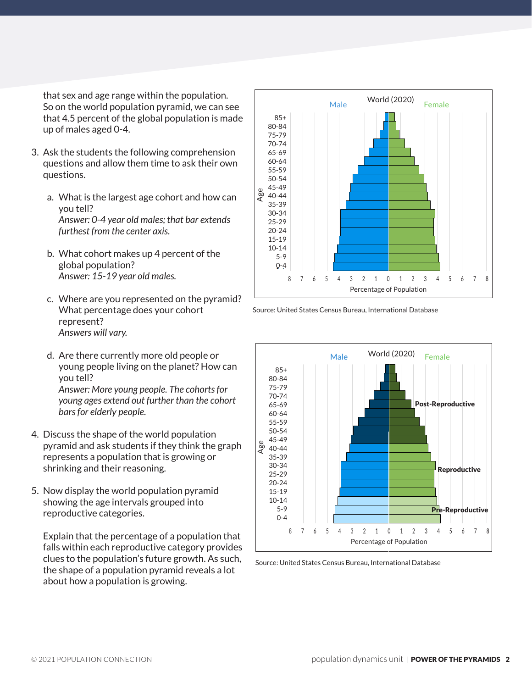that sex and age range within the population. So on the world population pyramid, we can see that 4.5 percent of the global population is made up of males aged 0-4.

- 3. Ask the students the following comprehension questions and allow them time to ask their own questions.
	- a. What is the largest age cohort and how can you tell? *Answer: 0-4 year old males; that bar extends furthest from the center axis.*
	- b. What cohort makes up 4 percent of the global population? *Answer: 15-19 year old males.*
	- c. Where are you represented on the pyramid? What percentage does your cohort represent? *Answers will vary.*
	- d. Are there currently more old people or young people living on the planet? How can you tell? *Answer: More young people. The cohorts for young ages extend out further than the cohort bars for elderly people.*
- 4. Discuss the shape of the world population pyramid and ask students if they think the graph represents a population that is growing or shrinking and their reasoning.
- 5. Now display the world population pyramid showing the age intervals grouped into reproductive categories.

Explain that the percentage of a population that falls within each reproductive category provides clues to the population's future growth. As such, the shape of a population pyramid reveals a lot about how a population is growing.



Source: United States Census Bureau, International Database



Source: United States Census Bureau, International Database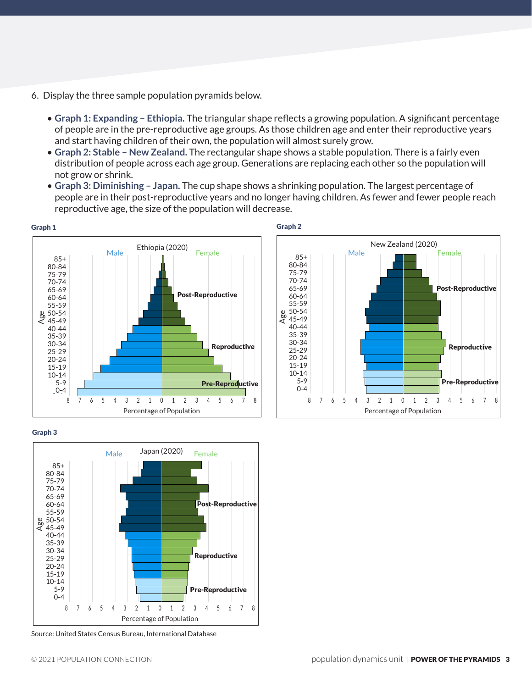- 6. Display the three sample population pyramids below.
	- **Graph 1: Expanding Ethiopia.** The triangular shape reflects a growing population. A significant percentage of people are in the pre-reproductive age groups. As those children age and enter their reproductive years and start having children of their own, the population will almost surely grow.
	- **Graph 2: Stable New Zealand.** The rectangular shape shows a stable population. There is a fairly even distribution of people across each age group. Generations are replacing each other so the population will not grow or shrink.
	- **Graph 3: Diminishing Japan.** The cup shape shows a shrinking population. The largest percentage of people are in their post-reproductive years and no longer having children. As fewer and fewer people reach reproductive age, the size of the population will decrease.





Graph 3



Source: United States Census Bureau, International Database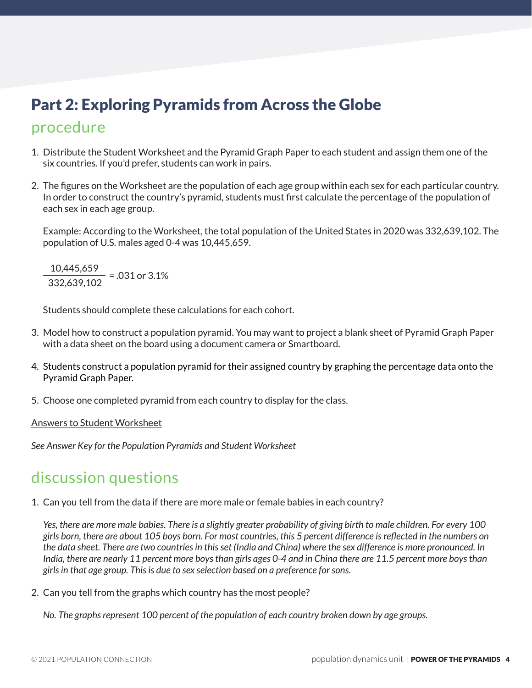## Part 2: Exploring Pyramids from Across the Globe

### procedure

- 1. Distribute the Student Worksheet and the Pyramid Graph Paper to each student and assign them one of the six countries. If you'd prefer, students can work in pairs.
- 2. The figures on the Worksheet are the population of each age group within each sex for each particular country. In order to construct the country's pyramid, students must first calculate the percentage of the population of each sex in each age group.

Example: According to the Worksheet, the total population of the United States in 2020 was 332,639,102. The population of U.S. males aged 0-4 was 10,445,659.

 $\frac{10,445,659}{222,422,422}$  = .031 or 3.1% 332,639,102

Students should complete these calculations for each cohort.

- 3. Model how to construct a population pyramid. You may want to project a blank sheet of Pyramid Graph Paper with a data sheet on the board using a document camera or Smartboard.
- 4. Students construct a population pyramid for their assigned country by graphing the percentage data onto the Pyramid Graph Paper.
- 5. Choose one completed pyramid from each country to display for the class.

Answers to Student Worksheet

*See Answer Key for the Population Pyramids and Student Worksheet*

#### discussion questions

1. Can you tell from the data if there are more male or female babies in each country?

*Yes, there are more male babies. There is a slightly greater probability of giving birth to male children. For every 100 girls born, there are about 105 boys born. For most countries, this 5 percent difference is reflected in the numbers on the data sheet. There are two countries in this set (India and China) where the sex difference is more pronounced. In India, there are nearly 11 percent more boys than girls ages 0-4 and in China there are 11.5 percent more boys than girls in that age group. This is due to sex selection based on a preference for sons.*

2. Can you tell from the graphs which country has the most people?

*No. The graphs represent 100 percent of the population of each country broken down by age groups.*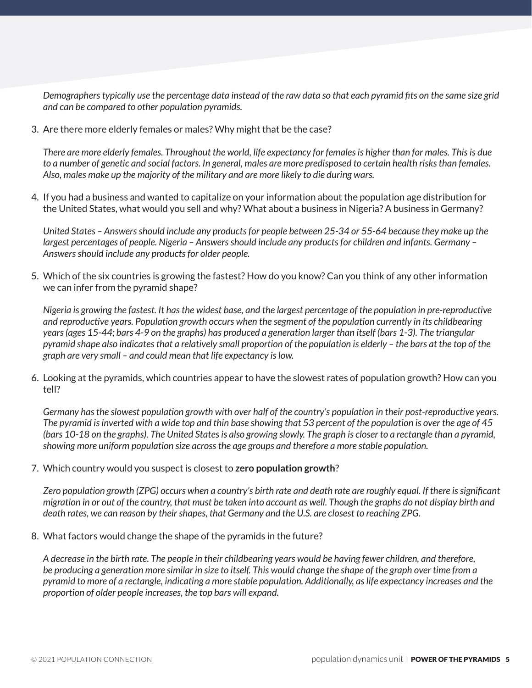*Demographers typically use the percentage data instead of the raw data so that each pyramid fits on the same size grid and can be compared to other population pyramids.*

3. Are there more elderly females or males? Why might that be the case?

*There are more elderly females. Throughout the world, life expectancy for females is higher than for males. This is due to a number of genetic and social factors. In general, males are more predisposed to certain health risks than females. Also, males make up the majority of the military and are more likely to die during wars.*

4. If you had a business and wanted to capitalize on your information about the population age distribution for the United States, what would you sell and why? What about a business in Nigeria? A business in Germany?

*United States – Answers should include any products for people between 25-34 or 55-64 because they make up the largest percentages of people. Nigeria – Answers should include any products for children and infants. Germany – Answers should include any products for older people.*

5. Which of the six countries is growing the fastest? How do you know? Can you think of any other information we can infer from the pyramid shape?

*Nigeria is growing the fastest. It has the widest base, and the largest percentage of the population in pre-reproductive and reproductive years. Population growth occurs when the segment of the population currently in its childbearing years (ages 15-44; bars 4-9 on the graphs) has produced a generation larger than itself (bars 1-3). The triangular pyramid shape also indicates that a relatively small proportion of the population is elderly – the bars at the top of the graph are very small – and could mean that life expectancy is low.*

6. Looking at the pyramids, which countries appear to have the slowest rates of population growth? How can you tell?

*Germany has the slowest population growth with over half of the country's population in their post-reproductive years. The pyramid is inverted with a wide top and thin base showing that 53 percent of the population is over the age of 45 (bars 10-18 on the graphs). The United States is also growing slowly. The graph is closer to a rectangle than a pyramid, showing more uniform population size across the age groups and therefore a more stable population.*

7. Which country would you suspect is closest to **zero population growth**?

*Zero population growth (ZPG) occurs when a country's birth rate and death rate are roughly equal. If there is significant migration in or out of the country, that must be taken into account as well. Though the graphs do not display birth and death rates, we can reason by their shapes, that Germany and the U.S. are closest to reaching ZPG.*

8. What factors would change the shape of the pyramids in the future?

*A decrease in the birth rate. The people in their childbearing years would be having fewer children, and therefore, be producing a generation more similar in size to itself. This would change the shape of the graph over time from a pyramid to more of a rectangle, indicating a more stable population. Additionally, as life expectancy increases and the proportion of older people increases, the top bars will expand.*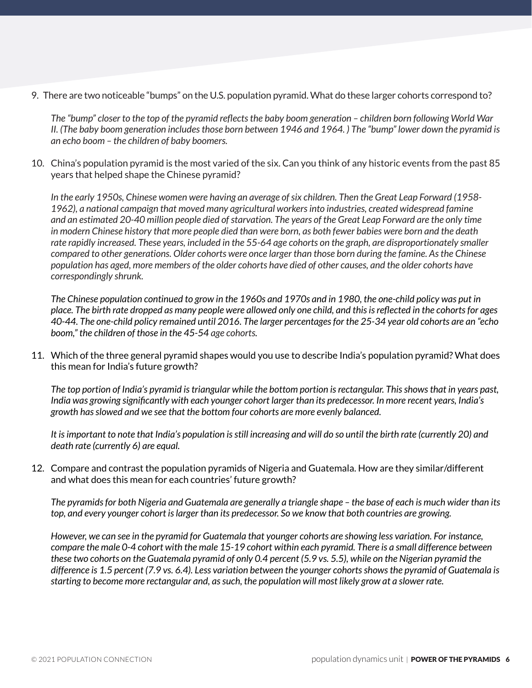9. There are two noticeable "bumps" on the U.S. population pyramid. What do these larger cohorts correspond to?

*The "bump" closer to the top of the pyramid reflects the baby boom generation – children born following World War II. (The baby boom generation includes those born between 1946 and 1964. ) The "bump" lower down the pyramid is an echo boom – the children of baby boomers.*

10. China's population pyramid is the most varied of the six. Can you think of any historic events from the past 85 years that helped shape the Chinese pyramid?

*In the early 1950s, Chinese women were having an average of six children. Then the Great Leap Forward (1958- 1962), a national campaign that moved many agricultural workers into industries, created widespread famine and an estimated 20-40 million people died of starvation. The years of the Great Leap Forward are the only time in modern Chinese history that more people died than were born, as both fewer babies were born and the death rate rapidly increased. These years, included in the 55-64 age cohorts on the graph, are disproportionately smaller compared to other generations. Older cohorts were once larger than those born during the famine. As the Chinese population has aged, more members of the older cohorts have died of other causes, and the older cohorts have correspondingly shrunk.*

*The Chinese population continued to grow in the 1960s and 1970s and in 1980, the one-child policy was put in place. The birth rate dropped as many people were allowed only one child, and this is reflected in the cohorts for ages 40-44. The one-child policy remained until 2016. The larger percentages for the 25-34 year old cohorts are an "echo boom," the children of those in the 45-54 age cohorts.*

11. Which of the three general pyramid shapes would you use to describe India's population pyramid? What does this mean for India's future growth?

*The top portion of India's pyramid is triangular while the bottom portion is rectangular. This shows that in years past, India was growing significantly with each younger cohort larger than its predecessor. In more recent years, India's growth has slowed and we see that the bottom four cohorts are more evenly balanced.*

*It is important to note that India's population is still increasing and will do so until the birth rate (currently 20) and death rate (currently 6) are equal.*

12. Compare and contrast the population pyramids of Nigeria and Guatemala. How are they similar/different and what does this mean for each countries' future growth?

*The pyramids for both Nigeria and Guatemala are generally a triangle shape – the base of each is much wider than its top, and every younger cohort is larger than its predecessor. So we know that both countries are growing.*

*However, we can see in the pyramid for Guatemala that younger cohorts are showing less variation. For instance, compare the male 0-4 cohort with the male 15-19 cohort within each pyramid. There is a small difference between these two cohorts on the Guatemala pyramid of only 0.4 percent (5.9 vs. 5.5), while on the Nigerian pyramid the difference is 1.5 percent (7.9 vs. 6.4). Less variation between the younger cohorts shows the pyramid of Guatemala is starting to become more rectangular and, as such, the population will most likely grow at a slower rate.*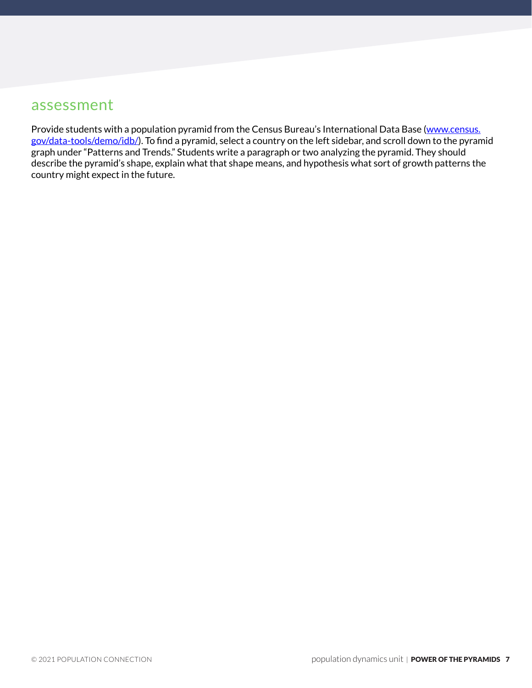#### assessment

Provide students with a population pyramid from the Census Bureau's International Data Base ([www.census.](https://www.census.gov/data-tools/demo/idb/) [gov/data-tools/demo/idb/](https://www.census.gov/data-tools/demo/idb/)). To find a pyramid, select a country on the left sidebar, and scroll down to the pyramid graph under "Patterns and Trends." Students write a paragraph or two analyzing the pyramid. They should describe the pyramid's shape, explain what that shape means, and hypothesis what sort of growth patterns the country might expect in the future.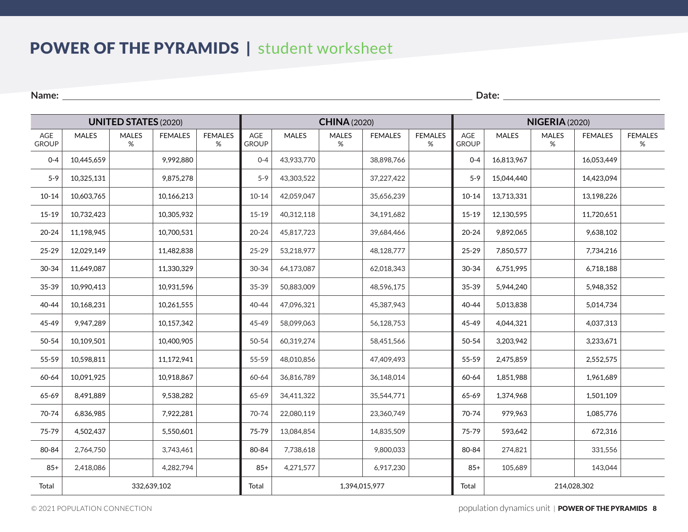### POWER OF THE PYRAMIDS | student worksheet

**Name: Date: Date: Date: Date: Date: Date: Date: Date: Date: Date: Date: Date: Date: Date: Date: Date: Date: Date: Date: Date: Date: Date: Date: Date: Date: Date: Date:** 

| <b>UNITED STATES (2020)</b> |              |                   |                |                     |                     |               | <b>CHINA (2020)</b> |                |                     | <b>NIGERIA (2020)</b> |              |                   |                |                     |  |
|-----------------------------|--------------|-------------------|----------------|---------------------|---------------------|---------------|---------------------|----------------|---------------------|-----------------------|--------------|-------------------|----------------|---------------------|--|
| AGE<br><b>GROUP</b>         | <b>MALES</b> | <b>MALES</b><br>% | <b>FEMALES</b> | <b>FEMALES</b><br>% | AGE<br><b>GROUP</b> | <b>MALES</b>  | <b>MALES</b><br>%   | <b>FEMALES</b> | <b>FEMALES</b><br>% | AGE<br><b>GROUP</b>   | <b>MALES</b> | <b>MALES</b><br>% | <b>FEMALES</b> | <b>FEMALES</b><br>% |  |
| $0 - 4$                     | 10,445,659   |                   | 9,992,880      |                     | $0 - 4$             | 43,933,770    |                     | 38,898,766     |                     | $0 - 4$               | 16,813,967   |                   | 16,053,449     |                     |  |
| $5 - 9$                     | 10,325,131   |                   | 9,875,278      |                     | $5 - 9$             | 43,303,522    |                     | 37,227,422     |                     | $5 - 9$               | 15,044,440   |                   | 14,423,094     |                     |  |
| $10 - 14$                   | 10,603,765   |                   | 10,166,213     |                     | $10 - 14$           | 42,059,047    |                     | 35,656,239     |                     | $10 - 14$             | 13,713,331   |                   | 13,198,226     |                     |  |
| $15-19$                     | 10,732,423   |                   | 10,305,932     |                     | $15-19$             | 40,312,118    |                     | 34,191,682     |                     | $15 - 19$             | 12,130,595   |                   | 11,720,651     |                     |  |
| $20 - 24$                   | 11,198,945   |                   | 10,700,531     |                     | $20 - 24$           | 45,817,723    |                     | 39,684,466     |                     | $20 - 24$             | 9,892,065    |                   | 9,638,102      |                     |  |
| 25-29                       | 12,029,149   |                   | 11,482,838     |                     | 25-29               | 53,218,977    |                     | 48,128,777     |                     | $25 - 29$             | 7,850,577    |                   | 7,734,216      |                     |  |
| 30-34                       | 11,649,087   |                   | 11,330,329     |                     | 30-34               | 64,173,087    |                     | 62,018,343     |                     | 30-34                 | 6,751,995    |                   | 6,718,188      |                     |  |
| 35-39                       | 10,990,413   |                   | 10,931,596     |                     | 35-39               | 50,883,009    |                     | 48,596,175     |                     | 35-39                 | 5,944,240    |                   | 5,948,352      |                     |  |
| 40-44                       | 10,168,231   |                   | 10,261,555     |                     | $40 - 44$           | 47,096,321    |                     | 45,387,943     |                     | 40-44                 | 5,013,838    |                   | 5,014,734      |                     |  |
| 45-49                       | 9,947,289    |                   | 10,157,342     |                     | 45-49               | 58,099,063    |                     | 56,128,753     |                     | 45-49                 | 4,044,321    |                   | 4,037,313      |                     |  |
| 50-54                       | 10,109,501   |                   | 10,400,905     |                     | 50-54               | 60,319,274    |                     | 58,451,566     |                     | 50-54                 | 3,203,942    |                   | 3,233,671      |                     |  |
| 55-59                       | 10,598,811   |                   | 11,172,941     |                     | 55-59               | 48,010,856    |                     | 47,409,493     |                     | 55-59                 | 2,475,859    |                   | 2,552,575      |                     |  |
| 60-64                       | 10,091,925   |                   | 10,918,867     |                     | 60-64               | 36,816,789    |                     | 36,148,014     |                     | 60-64                 | 1,851,988    |                   | 1,961,689      |                     |  |
| 65-69                       | 8,491,889    |                   | 9,538,282      |                     | 65-69               | 34,411,322    |                     | 35,544,771     |                     | 65-69                 | 1,374,968    |                   | 1,501,109      |                     |  |
| 70-74                       | 6,836,985    |                   | 7,922,281      |                     | 70-74               | 22,080,119    |                     | 23,360,749     |                     | 70-74                 | 979,963      |                   | 1,085,776      |                     |  |
| 75-79                       | 4,502,437    |                   | 5,550,601      |                     | 75-79               | 13,084,854    |                     | 14,835,509     |                     | 75-79                 | 593,642      |                   | 672,316        |                     |  |
| 80-84                       | 2,764,750    |                   | 3,743,461      |                     | 80-84               | 7,738,618     |                     | 9,800,033      |                     | 80-84                 | 274,821      |                   | 331,556        |                     |  |
| $85+$                       | 2,418,086    |                   | 4,282,794      |                     | $85+$               | 4,271,577     |                     | 6,917,230      |                     | $85+$                 | 105,689      |                   | 143,044        |                     |  |
| Total                       | 332,639,102  |                   |                |                     |                     | 1,394,015,977 |                     |                |                     |                       | 214,028,302  |                   |                |                     |  |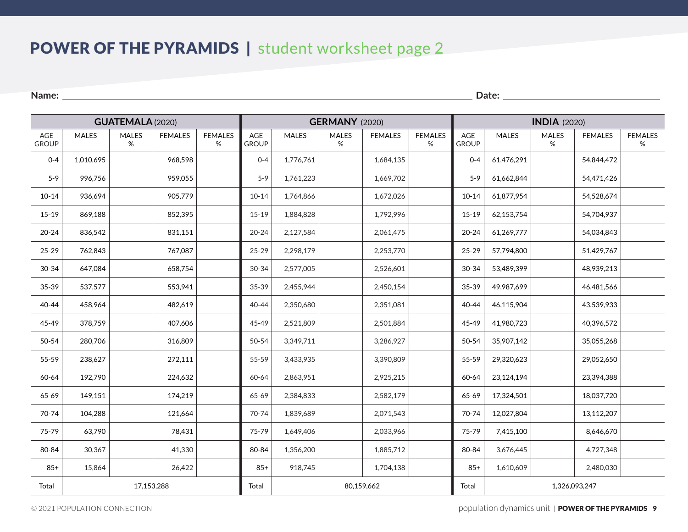### POWER OF THE PYRAMIDS | student worksheet page 2

**Name: Date: Date: Date: Date: Date: Date: Date: Date: Date: Date: Date: Date: Date: Date: Date: Date: Date: Date: Date: Date: Date: Date: Date: Date: Date: Date: Date:** 

| <b>GUATEMALA (2020)</b> |              |                   |                |                        | <b>GERMANY</b> (2020) |              |                      |                |                        |                     | <b>INDIA</b> (2020) |                      |                |                        |  |
|-------------------------|--------------|-------------------|----------------|------------------------|-----------------------|--------------|----------------------|----------------|------------------------|---------------------|---------------------|----------------------|----------------|------------------------|--|
| AGE<br><b>GROUP</b>     | <b>MALES</b> | <b>MALES</b><br>% | <b>FEMALES</b> | <b>FEMALES</b><br>$\%$ | AGE<br><b>GROUP</b>   | <b>MALES</b> | <b>MALES</b><br>$\%$ | <b>FEMALES</b> | <b>FEMALES</b><br>$\%$ | AGE<br><b>GROUP</b> | <b>MALES</b>        | <b>MALES</b><br>$\%$ | <b>FEMALES</b> | <b>FEMALES</b><br>$\%$ |  |
| $0 - 4$                 | 1,010,695    |                   | 968,598        |                        | $0 - 4$               | 1,776,761    |                      | 1,684,135      |                        | $0 - 4$             | 61,476,291          |                      | 54,844,472     |                        |  |
| $5 - 9$                 | 996,756      |                   | 959,055        |                        | $5 - 9$               | 1,761,223    |                      | 1,669,702      |                        | $5 - 9$             | 61,662,844          |                      | 54,471,426     |                        |  |
| $10 - 14$               | 936,694      |                   | 905,779        |                        | $10 - 14$             | 1,764,866    |                      | 1,672,026      |                        | $10 - 14$           | 61,877,954          |                      | 54,528,674     |                        |  |
| $15 - 19$               | 869,188      |                   | 852,395        |                        | $15-19$               | 1,884,828    |                      | 1,792,996      |                        | $15 - 19$           | 62,153,754          |                      | 54,704,937     |                        |  |
| $20 - 24$               | 836,542      |                   | 831,151        |                        | $20 - 24$             | 2,127,584    |                      | 2,061,475      |                        | $20 - 24$           | 61,269,777          |                      | 54,034,843     |                        |  |
| 25-29                   | 762,843      |                   | 767,087        |                        | 25-29                 | 2,298,179    |                      | 2,253,770      |                        | 25-29               | 57,794,800          |                      | 51,429,767     |                        |  |
| 30-34                   | 647,084      |                   | 658,754        |                        | 30-34                 | 2,577,005    |                      | 2,526,601      |                        | 30-34               | 53,489,399          |                      | 48,939,213     |                        |  |
| 35-39                   | 537,577      |                   | 553,941        |                        | 35-39                 | 2,455,944    |                      | 2,450,154      |                        | 35-39               | 49,987,699          |                      | 46,481,566     |                        |  |
| 40-44                   | 458,964      |                   | 482,619        |                        | 40-44                 | 2,350,680    |                      | 2,351,081      |                        | 40-44               | 46,115,904          |                      | 43,539,933     |                        |  |
| 45-49                   | 378,759      |                   | 407,606        |                        | 45-49                 | 2,521,809    |                      | 2,501,884      |                        | 45-49               | 41,980,723          |                      | 40,396,572     |                        |  |
| 50-54                   | 280,706      |                   | 316,809        |                        | 50-54                 | 3,349,711    |                      | 3,286,927      |                        | 50-54               | 35,907,142          |                      | 35,055,268     |                        |  |
| 55-59                   | 238,627      |                   | 272,111        |                        | 55-59                 | 3,433,935    |                      | 3,390,809      |                        | 55-59               | 29,320,623          |                      | 29,052,650     |                        |  |
| 60-64                   | 192,790      |                   | 224,632        |                        | 60-64                 | 2,863,951    |                      | 2,925,215      |                        | 60-64               | 23,124,194          |                      | 23,394,388     |                        |  |
| 65-69                   | 149,151      |                   | 174,219        |                        | 65-69                 | 2,384,833    |                      | 2,582,179      |                        | 65-69               | 17,324,501          |                      | 18,037,720     |                        |  |
| 70-74                   | 104,288      |                   | 121,664        |                        | 70-74                 | 1,839,689    |                      | 2,071,543      |                        | 70-74               | 12,027,804          |                      | 13,112,207     |                        |  |
| 75-79                   | 63,790       |                   | 78,431         |                        | 75-79                 | 1,649,406    |                      | 2,033,966      |                        | 75-79               | 7,415,100           |                      | 8,646,670      |                        |  |
| 80-84                   | 30,367       |                   | 41,330         |                        | 80-84                 | 1,356,200    |                      | 1,885,712      |                        | 80-84               | 3,676,445           |                      | 4,727,348      |                        |  |
| $85+$                   | 15,864       |                   | 26,422         |                        | $85+$                 | 918,745      |                      | 1,704,138      |                        | $85+$               | 1,610,609           |                      | 2,480,030      |                        |  |
| 17,153,288<br>Total     |              |                   |                |                        | Total                 | 80,159,662   |                      |                |                        |                     | 1,326,093,247       |                      |                |                        |  |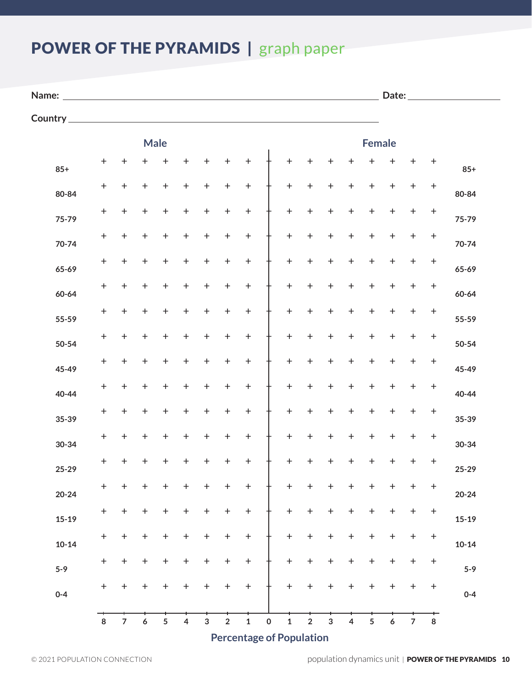# POWER OF THE PYRAMIDS | graph paper

| Name: |  |  |
|-------|--|--|

**Name: Date:**

**Country**

|           |                                  |                  |                  | <b>Male</b>      |                                     |                  |                  |                  |              |                  |                  |                  |                  | <b>Female</b>    |                  |                |            |           |
|-----------|----------------------------------|------------------|------------------|------------------|-------------------------------------|------------------|------------------|------------------|--------------|------------------|------------------|------------------|------------------|------------------|------------------|----------------|------------|-----------|
| $85+$     | $\ddot{}$                        | $\pm$            | $\pm$            | $\boldsymbol{+}$ | $\ddagger$                          | $\boldsymbol{+}$ | $\boldsymbol{+}$ | $\boldsymbol{+}$ |              | $\ddot{}$        | $\pm$            | $\boldsymbol{+}$ | ┿                | ┿                | ┿                | $\ddagger$     | $\ddagger$ | $85+$     |
| 80-84     | $\! + \!$                        | $\boldsymbol{+}$ | $\boldsymbol{+}$ | $\ddagger$       | $\ddagger$                          | $\ddagger$       | $\ddagger$       | $\boldsymbol{+}$ |              | $\boldsymbol{+}$ | $\ddagger$       | $\ddagger$       | $\boldsymbol{+}$ | $\boldsymbol{+}$ | $\ddagger$       | $\ddagger$     | $\ddagger$ | 80-84     |
| 75-79     | $\begin{array}{c} + \end{array}$ | $\pmb{+}$        | $\boldsymbol{+}$ | $\ddot{}$        | $\ddagger$                          | $\pmb{+}$        | $\boldsymbol{+}$ | $\boldsymbol{+}$ |              | $\boldsymbol{+}$ | $\boldsymbol{+}$ | $\pmb{+}$        | $\ddot{}$        | $\pmb{+}$        | $\mathbf +$      | $\ddagger$     | $\ddagger$ | 75-79     |
| 70-74     | $\ddagger$                       | $\pm$            | +                | $\ddot{}$        | $\ddot{}$                           | $\boldsymbol{+}$ | $\pmb{+}$        | $\boldsymbol{+}$ |              | $\ddag$          | $\ddot{}$        | $\ddot{}$        | $\ddot{}$        | $\ddot{}$        | $\ddot{}$        | $\ddot{}$      | $\ddot{}$  | 70-74     |
|           | $\ddagger$                       | $\boldsymbol{+}$ | $\boldsymbol{+}$ | $\boldsymbol{+}$ | $\boldsymbol{+}$                    | $\boldsymbol{+}$ | $\boldsymbol{+}$ | $\ddag$          |              | $\ddag$          | $\boldsymbol{+}$ | $\boldsymbol{+}$ | $\boldsymbol{+}$ | $\boldsymbol{+}$ | $\ddag$          | $\ddag$        | $\! + \!$  |           |
| 65-69     | $\color{red}{+}$                 | $\boldsymbol{+}$ | $\pm$            | $\ddot{}$        | $\ddagger$                          | $\boldsymbol{+}$ | $\ddot{}$        | $\boldsymbol{+}$ |              | $\ddag$          | $\pmb{+}$        | $\pmb{+}$        | $\boldsymbol{+}$ | $\pmb{+}$        | $\boldsymbol{+}$ | $\ddot{}$      | $\ddagger$ | 65-69     |
| 60-64     | $\ddot{}$                        | $\boldsymbol{+}$ | $\boldsymbol{+}$ | $\ddagger$       | $\ddagger$                          | $\boldsymbol{+}$ | $\ddagger$       | $\ddag$          |              | $\ddag$          | $\boldsymbol{+}$ | $\boldsymbol{+}$ | $\boldsymbol{+}$ | $\boldsymbol{+}$ | $\ddag$          | $\ddagger$     | $\ddagger$ | 60-64     |
| 55-59     | $\ddagger$                       | $\pm$            | $\pm$            | $\ddot{}$        | $\ddagger$                          | $\pm$            | $\boldsymbol{+}$ | $\boldsymbol{+}$ |              | $\ddag$          | $\boldsymbol{+}$ | $\pmb{+}$        | $\ddot{}$        | $\ddot{}$        | $\mathbf +$      | $\ddagger$     | $\ddagger$ | 55-59     |
| 50-54     | $\boldsymbol{+}$                 | $\pm$            | $\pm$            | $\ddot{}$        | $\ddot{}$                           | $\boldsymbol{+}$ | $\boldsymbol{+}$ | $\boldsymbol{+}$ |              | $\boldsymbol{+}$ |                  |                  | $\ddot{}$        |                  | $\ddot{}$        | $\ddagger$     | $\ddot{}$  | 50-54     |
| 45-49     |                                  |                  |                  |                  |                                     |                  |                  |                  |              |                  | $\pmb{+}$        | +                |                  | $\pmb{+}$        |                  |                |            | 45-49     |
| 40-44     | $\begin{array}{c} + \end{array}$ | $\boldsymbol{+}$ | $\boldsymbol{+}$ | $\boldsymbol{+}$ | $\boldsymbol{+}$                    | $\boldsymbol{+}$ | $\boldsymbol{+}$ | $\boldsymbol{+}$ |              | $\ddag$          | $\boldsymbol{+}$ | $\boldsymbol{+}$ | $\boldsymbol{+}$ | $\boldsymbol{+}$ | $\mathbf +$      | $\ddag$        | $\! + \!$  | 40-44     |
| 35-39     | $\! + \!$                        | $\boldsymbol{+}$ | $\boldsymbol{+}$ | $\boldsymbol{+}$ | $\ddagger$                          | $\boldsymbol{+}$ | $\boldsymbol{+}$ | $\boldsymbol{+}$ |              | $\ddag$          | $\pmb{+}$        | $\boldsymbol{+}$ | $\boldsymbol{+}$ | $\pmb{+}$        | $\boldsymbol{+}$ | $\ddot{}$      | $\ddagger$ | 35-39     |
| 30-34     | $\ddot{}$                        | $\boldsymbol{+}$ | $\boldsymbol{+}$ | $\ddagger$       | $\ddagger$                          | $\boldsymbol{+}$ | $\boldsymbol{+}$ | $\ddag$          |              | $\ddag$          | $\boldsymbol{+}$ | $\boldsymbol{+}$ | $\boldsymbol{+}$ | $\boldsymbol{+}$ | $\ddag$          | $\ddagger$     | $\ddagger$ | $30 - 34$ |
| 25-29     | $\ddagger$                       | $\ddot{}$        | $\ddot{}$        | ┿                | $\ddagger$                          | ┿                | $\boldsymbol{+}$ | $\boldsymbol{+}$ |              | $\ddag$          | $\pmb{+}$        | $\pmb{+}$        | $\ddot{}$        | $\ddot{}$        | $\ddot{}$        | $\pm$          | $\ddot{}$  | 25-29     |
| $20 - 24$ | $\ddagger$                       | $\boldsymbol{+}$ | $\boldsymbol{+}$ | $\ddagger$       | $\ddagger$                          | $\boldsymbol{+}$ | $\ddot{}$        | $\boldsymbol{+}$ |              | $\ddag$          | $\ddagger$       | $\boldsymbol{+}$ | $\ddot{}$        | $\pmb{+}$        | $\ddot{}$        | $\ddagger$     | $\ddot{}$  | $20 - 24$ |
| $15 - 19$ | $\color{red}{+}$                 | $\boldsymbol{+}$ | $\,{}^+$         | $\pmb{+}$        | $\boldsymbol{+}$                    | $\,{}^+$         | $\,{}^+$         | $\,{}^+$         |              | $\ddot{}$        | $\pmb{+}$        | +                | +                | $\boldsymbol{+}$ | $\mathbf +$      | $\pmb{+}$      | $\! + \!$  | $15-19$   |
| $10 - 14$ | $+$                              | $+$              |                  |                  | + + + + + + + + + + + + + + +       |                  |                  |                  |              |                  |                  |                  |                  |                  |                  |                |            | $10 - 14$ |
| $5-9$     | $+$                              |                  |                  |                  | $+$ + + + + + + + + + + + + + + + + |                  |                  |                  |              |                  |                  |                  |                  |                  |                  |                |            | $5-9$     |
| $0 - 4$   | $+$                              | $+$              | $+$              |                  |                                     |                  |                  |                  |              |                  |                  |                  |                  |                  |                  |                |            | $0 - 4$   |
|           |                                  |                  |                  |                  |                                     |                  |                  |                  |              |                  |                  |                  |                  |                  |                  |                |            |           |
|           | 8                                | 7 <sup>7</sup>   | 6 <sup>1</sup>   | 5 <sub>1</sub>   | 4 <sup>1</sup>                      | $3^{\circ}$      | $2^{\circ}$      | 1                | $\mathbf{0}$ | $1 \quad$        | $2^{\circ}$      | $3^{\circ}$      | 4 <sup>1</sup>   | 5 <sub>1</sub>   | 6 <sup>1</sup>   | 7 <sup>7</sup> | 8          |           |

**Percentage of Population**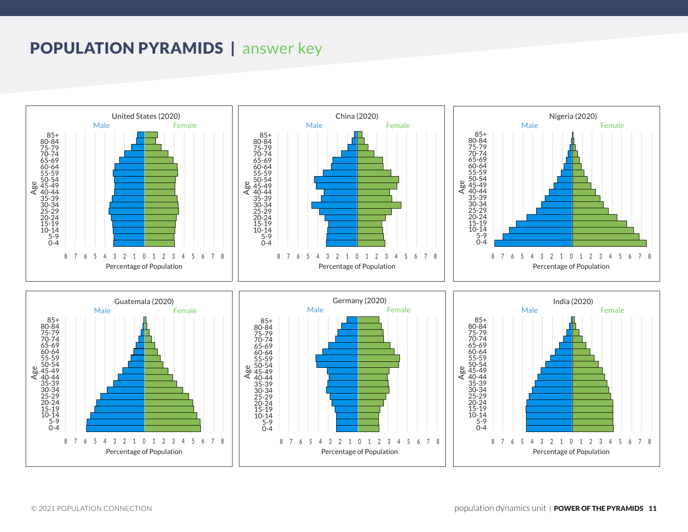### POPULATION PYRAMIDS | answer key

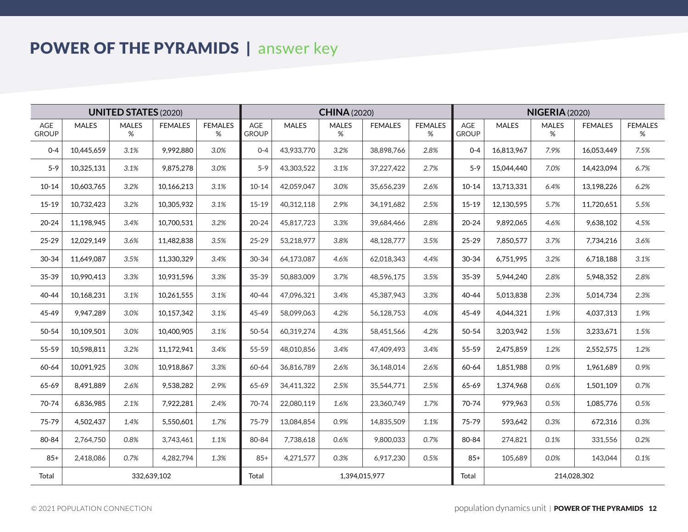# POWER OF THE PYRAMIDS | answer key

| <b>UNITED STATES (2020)</b> |              |                   |                |                     | <b>CHINA (2020)</b> |              |                   |                |                     |                     | <b>NIGERIA</b> (2020) |                   |                |                     |  |
|-----------------------------|--------------|-------------------|----------------|---------------------|---------------------|--------------|-------------------|----------------|---------------------|---------------------|-----------------------|-------------------|----------------|---------------------|--|
| AGE<br><b>GROUP</b>         | <b>MALES</b> | <b>MALES</b><br>% | <b>FEMALES</b> | <b>FEMALES</b><br>% | AGE<br><b>GROUP</b> | <b>MALES</b> | <b>MALES</b><br>% | <b>FEMALES</b> | <b>FEMALES</b><br>% | AGE<br><b>GROUP</b> | <b>MALES</b>          | <b>MALES</b><br>% | <b>FEMALES</b> | <b>FEMALES</b><br>% |  |
| $0 - 4$                     | 10,445,659   | 3.1%              | 9,992,880      | 3.0%                | $0 - 4$             | 43,933,770   | 3.2%              | 38,898,766     | 2.8%                | $0 - 4$             | 16,813,967            | 7.9%              | 16,053,449     | 7.5%                |  |
| $5 - 9$                     | 10,325,131   | 3.1%              | 9,875,278      | 3.0%                | $5 - 9$             | 43,303,522   | 3.1%              | 37,227,422     | 2.7%                | $5-9$               | 15,044,440            | 7.0%              | 14,423,094     | 6.7%                |  |
| $10 - 14$                   | 10,603,765   | 3.2%              | 10,166,213     | 3.1%                | $10 - 14$           | 42,059,047   | 3.0%              | 35,656,239     | 2.6%                | $10 - 14$           | 13,713,331            | 6.4%              | 13,198,226     | 6.2%                |  |
| $15 - 19$                   | 10,732,423   | 3.2%              | 10,305,932     | 3.1%                | $15 - 19$           | 40,312,118   | 2.9%              | 34,191,682     | 2.5%                | $15 - 19$           | 12,130,595            | 5.7%              | 11,720,651     | 5.5%                |  |
| $20 - 24$                   | 11,198,945   | 3.4%              | 10,700,531     | 3.2%                | $20 - 24$           | 45,817,723   | 3.3%              | 39,684,466     | 2.8%                | $20 - 24$           | 9,892,065             | 4.6%              | 9,638,102      | 4.5%                |  |
| 25-29                       | 12,029,149   | 3.6%              | 11,482,838     | 3.5%                | $25 - 29$           | 53,218,977   | 3.8%              | 48,128,777     | 3.5%                | $25 - 29$           | 7,850,577             | 3.7%              | 7,734,216      | 3.6%                |  |
| 30-34                       | 11,649,087   | 3.5%              | 11,330,329     | 3.4%                | 30-34               | 64,173,087   | 4.6%              | 62,018,343     | 4.4%                | 30-34               | 6,751,995             | 3.2%              | 6,718,188      | 3.1%                |  |
| 35-39                       | 10,990,413   | 3.3%              | 10,931,596     | 3.3%                | $35 - 39$           | 50,883,009   | 3.7%              | 48,596,175     | 3.5%                | 35-39               | 5,944,240             | 2.8%              | 5,948,352      | 2.8%                |  |
| 40-44                       | 10,168,231   | 3.1%              | 10,261,555     | 3.1%                | $40 - 44$           | 47,096,321   | 3.4%              | 45,387,943     | 3.3%                | 40-44               | 5,013,838             | 2.3%              | 5,014,734      | 2.3%                |  |
| 45-49                       | 9,947,289    | 3.0%              | 10,157,342     | 3.1%                | 45-49               | 58,099,063   | 4.2%              | 56,128,753     | 4.0%                | 45-49               | 4,044,321             | 1.9%              | 4,037,313      | 1.9%                |  |
| 50-54                       | 10,109,501   | 3.0%              | 10,400,905     | 3.1%                | 50-54               | 60,319,274   | 4.3%              | 58,451,566     | 4.2%                | 50-54               | 3,203,942             | 1.5%              | 3,233,671      | 1.5%                |  |
| 55-59                       | 10,598,811   | 3.2%              | 11,172,941     | 3.4%                | 55-59               | 48,010,856   | 3.4%              | 47,409,493     | 3.4%                | 55-59               | 2,475,859             | 1.2%              | 2,552,575      | 1.2%                |  |
| 60-64                       | 10,091,925   | 3.0%              | 10,918,867     | 3.3%                | 60-64               | 36,816,789   | 2.6%              | 36,148,014     | 2.6%                | 60-64               | 1,851,988             | 0.9%              | 1,961,689      | 0.9%                |  |
| 65-69                       | 8,491,889    | 2.6%              | 9,538,282      | 2.9%                | 65-69               | 34,411,322   | 2.5%              | 35,544,771     | 2.5%                | 65-69               | 1,374,968             | 0.6%              | 1,501,109      | 0.7%                |  |
| 70-74                       | 6,836,985    | 2.1%              | 7,922,281      | 2.4%                | 70-74               | 22,080,119   | 1.6%              | 23,360,749     | 1.7%                | 70-74               | 979,963               | 0.5%              | 1,085,776      | 0.5%                |  |
| 75-79                       | 4,502,437    | 1.4%              | 5,550,601      | 1.7%                | 75-79               | 13,084,854   | 0.9%              | 14,835,509     | 1.1%                | 75-79               | 593,642               | 0.3%              | 672,316        | 0.3%                |  |
| 80-84                       | 2,764,750    | 0.8%              | 3,743,461      | 1.1%                | 80-84               | 7,738,618    | 0.6%              | 9,800,033      | 0.7%                | 80-84               | 274,821               | 0.1%              | 331,556        | 0.2%                |  |
| $85+$                       | 2,418,086    | 0.7%              | 4,282,794      | 1.3%                | $85+$               | 4,271,577    | 0.3%              | 6,917,230      | 0.5%                | $85+$               | 105,689               | 0.0%              | 143,044        | 0.1%                |  |
| Total<br>332,639,102        |              |                   |                |                     |                     |              |                   | 1,394,015,977  |                     | Total               | 214,028,302           |                   |                |                     |  |